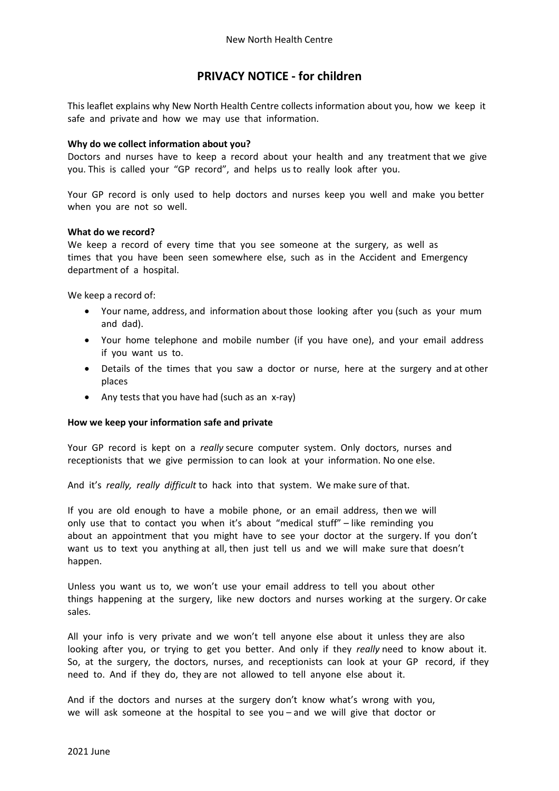# **PRIVACY NOTICE - for children**

This leaflet explains why New North Health Centre collects information about you, how we keep it safe and private and how we may use that information.

### **Why do we collect information about you?**

Doctors and nurses have to keep a record about your health and any treatment that we give you. This is called your "GP record", and helps us to really look after you.

Your GP record is only used to help doctors and nurses keep you well and make you better when you are not so well.

#### **What do we record?**

We keep a record of every time that you see someone at the surgery, as well as times that you have been seen somewhere else, such as in the Accident and Emergency department of a hospital.

We keep a record of:

- Your name, address, and information about those looking after you (such as your mum and dad).
- Your home telephone and mobile number (if you have one), and your email address if you want us to.
- Details of the times that you saw a doctor or nurse, here at the surgery and at other places
- Any tests that you have had (such as an x-ray)

## **How we keep your information safe and private**

Your GP record is kept on a *really* secure computer system. Only doctors, nurses and receptionists that we give permission to can look at your information. No one else.

And it's *really, really difficult* to hack into that system. We make sure of that.

If you are old enough to have a mobile phone, or an email address, then we will only use that to contact you when it's about "medical stuff" – like reminding you about an appointment that you might have to see your doctor at the surgery. If you don't want us to text you anything at all, then just tell us and we will make sure that doesn't happen.

Unless you want us to, we won't use your email address to tell you about other things happening at the surgery, like new doctors and nurses working at the surgery. Or cake sales.

All your info is very private and we won't tell anyone else about it unless they are also looking after you, or trying to get you better. And only if they *really* need to know about it. So, at the surgery, the doctors, nurses, and receptionists can look at your GP record, if they need to. And if they do, they are not allowed to tell anyone else about it.

And if the doctors and nurses at the surgery don't know what's wrong with you, we will ask someone at the hospital to see you – and we will give that doctor or